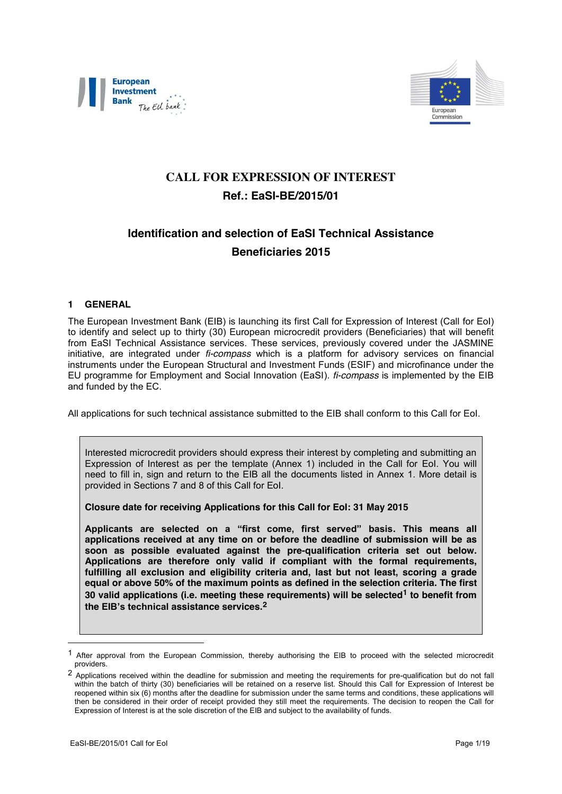



# **CALL FOR EXPRESSION OF INTEREST Ref.: EaSI-BE/2015/01**

# **Identification and selection of EaSI Technical Assistance Beneficiaries 2015**

#### <span id="page-0-0"></span>**1 GENERAL**

The European Investment Bank (EIB) is launching its first Call for Expression of Interest (Call for EoI) to identify and select up to thirty (30) European microcredit providers (Beneficiaries) that will benefit from EaSI Technical Assistance services. These services, previously covered under the JASMINE initiative, are integrated under *fi-compass* which is a platform for advisory services on financial instruments under the European Structural and Investment Funds (ESIF) and microfinance under the EU programme for Employment and Social Innovation (EaSI). *fi-compass* is implemented by the EIB and funded by the EC.

All applications for such technical assistance submitted to the EIB shall conform to this Call for EoI.

Interested microcredit providers should express their interest by completing and submitting an Expression of Interest as per the template (Annex 1) included in the Call for EoI. You will need to fill in, sign and return to the EIB all the documents listed in Annex 1. More detail is provided in Sections [7](#page-5-0) and [8](#page-6-0) of this Call for EoI.

**Closure date for receiving Applications for this Call for EoI: 31 May 2015**

**Applicants are selected on a "first come, first served" basis. This means all applications received at any time on or before the deadline of submission will be as soon as possible evaluated against the pre-qualification criteria set out below. Applications are therefore only valid if compliant with the formal requirements, fulfilling all exclusion and eligibility criteria and, last but not least, scoring a grade equal or above 50% of the maximum points as defined in the selection criteria. The first 30 valid applications (i.e. meeting these requirements) will be selected1 to benefit from the EIB's technical assistance services.2**

1

<sup>1</sup> After approval from the European Commission, thereby authorising the EIB to proceed with the selected microcredit providers.

<sup>2</sup> Applications received within the deadline for submission and meeting the requirements for pre-qualification but do not fall within the batch of thirty (30) beneficiaries will be retained on a reserve list. Should this Call for Expression of Interest be reopened within six (6) months after the deadline for submission under the same terms and conditions, these applications will then be considered in their order of receipt provided they still meet the requirements. The decision to reopen the Call for Expression of Interest is at the sole discretion of the EIB and subject to the availability of funds.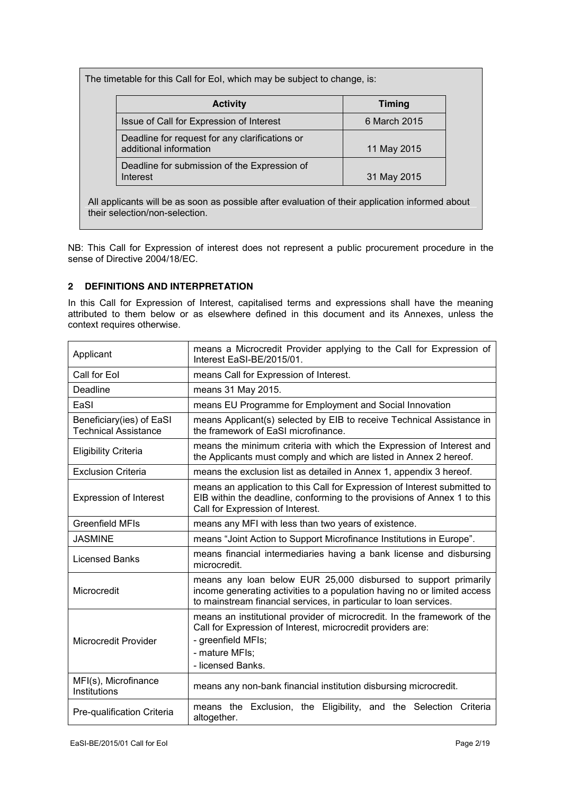The timetable for this Call for EoI, which may be subject to change, is:

| <b>Activity</b>                                                          | <b>Timing</b> |
|--------------------------------------------------------------------------|---------------|
| Issue of Call for Expression of Interest                                 | 6 March 2015  |
| Deadline for request for any clarifications or<br>additional information | 11 May 2015   |
| Deadline for submission of the Expression of<br>Interest                 | 31 May 2015   |

All applicants will be as soon as possible after evaluation of their application informed about their selection/non-selection.

NB: This Call for Expression of interest does not represent a public procurement procedure in the sense of Directive 2004/18/EC.

## **2 DEFINITIONS AND INTERPRETATION**

In this Call for Expression of Interest, capitalised terms and expressions shall have the meaning attributed to them below or as elsewhere defined in this document and its Annexes, unless the context requires otherwise.

| Applicant                                               | means a Microcredit Provider applying to the Call for Expression of<br>Interest EaSI-BE/2015/01.                                                                                                                |  |
|---------------------------------------------------------|-----------------------------------------------------------------------------------------------------------------------------------------------------------------------------------------------------------------|--|
| Call for Eol                                            | means Call for Expression of Interest.                                                                                                                                                                          |  |
| Deadline                                                | means 31 May 2015.                                                                                                                                                                                              |  |
| EaSI                                                    | means EU Programme for Employment and Social Innovation                                                                                                                                                         |  |
| Beneficiary(ies) of EaSI<br><b>Technical Assistance</b> | means Applicant(s) selected by EIB to receive Technical Assistance in<br>the framework of EaSI microfinance.                                                                                                    |  |
| <b>Eligibility Criteria</b>                             | means the minimum criteria with which the Expression of Interest and<br>the Applicants must comply and which are listed in Annex 2 hereof.                                                                      |  |
| <b>Exclusion Criteria</b>                               | means the exclusion list as detailed in Annex 1, appendix 3 hereof.                                                                                                                                             |  |
| <b>Expression of Interest</b>                           | means an application to this Call for Expression of Interest submitted to<br>EIB within the deadline, conforming to the provisions of Annex 1 to this<br>Call for Expression of Interest.                       |  |
| <b>Greenfield MFIs</b>                                  | means any MFI with less than two years of existence.                                                                                                                                                            |  |
| <b>JASMINE</b>                                          | means "Joint Action to Support Microfinance Institutions in Europe".                                                                                                                                            |  |
| <b>Licensed Banks</b>                                   | means financial intermediaries having a bank license and disbursing<br>microcredit.                                                                                                                             |  |
| Microcredit                                             | means any loan below EUR 25,000 disbursed to support primarily<br>income generating activities to a population having no or limited access<br>to mainstream financial services, in particular to loan services. |  |
| <b>Microcredit Provider</b>                             | means an institutional provider of microcredit. In the framework of the<br>Call for Expression of Interest, microcredit providers are:<br>- greenfield MFIs;<br>- mature MFIs;<br>- licensed Banks.             |  |
| MFI(s), Microfinance<br>Institutions                    | means any non-bank financial institution disbursing microcredit.                                                                                                                                                |  |
| Pre-qualification Criteria                              | means the Exclusion, the Eligibility, and the Selection Criteria<br>altogether.                                                                                                                                 |  |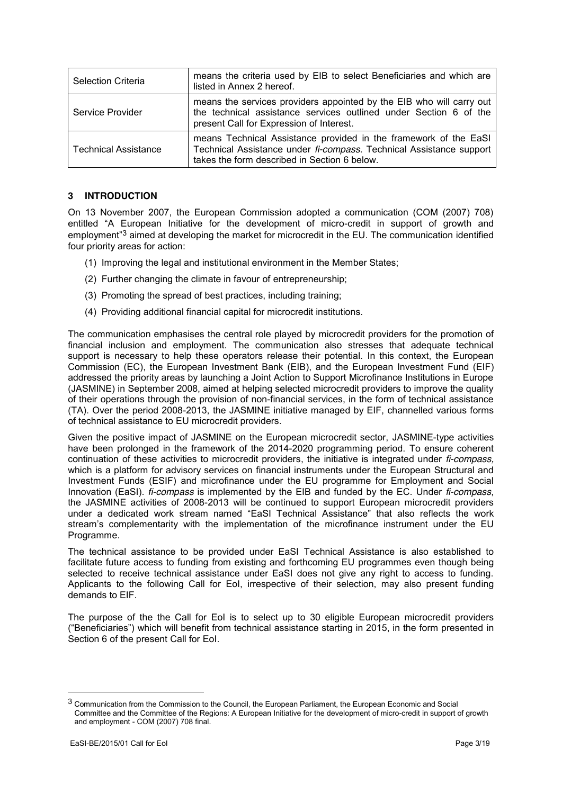| <b>Selection Criteria</b>   | means the criteria used by EIB to select Beneficiaries and which are<br>listed in Annex 2 hereof.                                                                                       |
|-----------------------------|-----------------------------------------------------------------------------------------------------------------------------------------------------------------------------------------|
| Service Provider            | means the services providers appointed by the EIB who will carry out<br>the technical assistance services outlined under Section 6 of the<br>present Call for Expression of Interest.   |
| <b>Technical Assistance</b> | means Technical Assistance provided in the framework of the EaSI<br>Technical Assistance under fi-compass. Technical Assistance support<br>takes the form described in Section 6 below. |

#### **3 INTRODUCTION**

On 13 November 2007, the European Commission adopted a communication (COM (2007) 708) entitled "A European Initiative for the development of micro-credit in support of growth and employment<sup>"3</sup> aimed at developing the market for microcredit in the EU. The communication identified four priority areas for action:

- (1) Improving the legal and institutional environment in the Member States;
- (2) Further changing the climate in favour of entrepreneurship;
- (3) Promoting the spread of best practices, including training;
- (4) Providing additional financial capital for microcredit institutions.

The communication emphasises the central role played by microcredit providers for the promotion of financial inclusion and employment. The communication also stresses that adequate technical support is necessary to help these operators release their potential. In this context, the European Commission (EC), the European Investment Bank (EIB), and the European Investment Fund (EIF) addressed the priority areas by launching a Joint Action to Support Microfinance Institutions in Europe (JASMINE) in September 2008, aimed at helping selected microcredit providers to improve the quality of their operations through the provision of non-financial services, in the form of technical assistance (TA). Over the period 2008-2013, the JASMINE initiative managed by EIF, channelled various forms of technical assistance to EU microcredit providers.

Given the positive impact of JASMINE on the European microcredit sector, JASMINE-type activities have been prolonged in the framework of the 2014-2020 programming period. To ensure coherent continuation of these activities to microcredit providers, the initiative is integrated under *fi-compass,* which is a platform for advisory services on financial instruments under the European Structural and Investment Funds (ESIF) and microfinance under the EU programme for Employment and Social Innovation (EaSI). *fi-compass* is implemented by the EIB and funded by the EC. Under *fi-compass*, the JASMINE activities of 2008-2013 will be continued to support European microcredit providers under a dedicated work stream named "EaSI Technical Assistance" that also reflects the work stream's complementarity with the implementation of the microfinance instrument under the EU Programme.

The technical assistance to be provided under EaSI Technical Assistance is also established to facilitate future access to funding from existing and forthcoming EU programmes even though being selected to receive technical assistance under EaSI does not give any right to access to funding. Applicants to the following Call for EoI, irrespective of their selection, may also present funding demands to EIF.

The purpose of the the Call for EoI is to select up to 30 eligible European microcredit providers ("Beneficiaries") which will benefit from technical assistance starting in 2015, in the form presented in Section [6](#page-3-0) of the present Call for EoI.

1

<sup>3</sup> Communication from the Commission to the Council, the European Parliament, the European Economic and Social Committee and the Committee of the Regions: A European Initiative for the development of micro-credit in support of growth and employment - COM (2007) 708 final.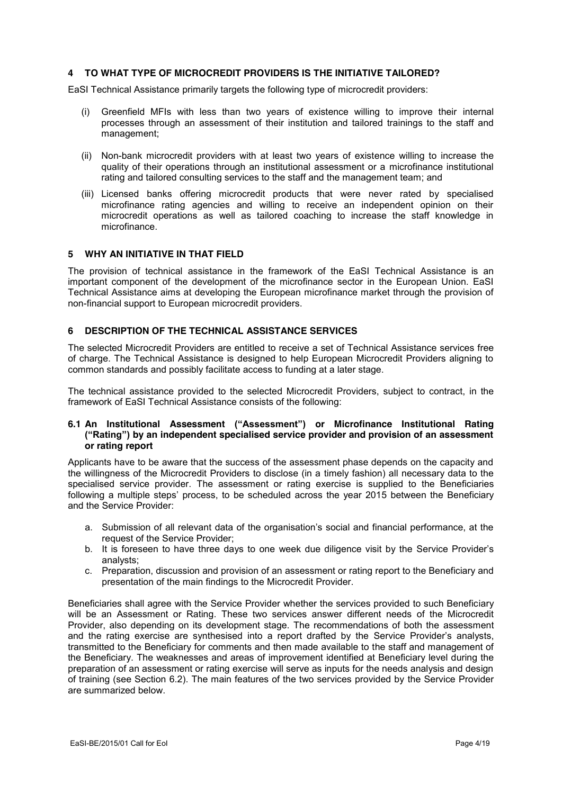#### **4 TO WHAT TYPE OF MICROCREDIT PROVIDERS IS THE INITIATIVE TAILORED?**

EaSI Technical Assistance primarily targets the following type of microcredit providers:

- (i) Greenfield MFIs with less than two years of existence willing to improve their internal processes through an assessment of their institution and tailored trainings to the staff and management;
- (ii) Non-bank microcredit providers with at least two years of existence willing to increase the quality of their operations through an institutional assessment or a microfinance institutional rating and tailored consulting services to the staff and the management team; and
- (iii) Licensed banks offering microcredit products that were never rated by specialised microfinance rating agencies and willing to receive an independent opinion on their microcredit operations as well as tailored coaching to increase the staff knowledge in microfinance.

#### **5 WHY AN INITIATIVE IN THAT FIELD**

The provision of technical assistance in the framework of the EaSI Technical Assistance is an important component of the development of the microfinance sector in the European Union. EaSI Technical Assistance aims at developing the European microfinance market through the provision of non-financial support to European microcredit providers.

#### <span id="page-3-0"></span>**6 DESCRIPTION OF THE TECHNICAL ASSISTANCE SERVICES**

The selected Microcredit Providers are entitled to receive a set of Technical Assistance services free of charge. The Technical Assistance is designed to help European Microcredit Providers aligning to common standards and possibly facilitate access to funding at a later stage.

The technical assistance provided to the selected Microcredit Providers, subject to contract, in the framework of EaSI Technical Assistance consists of the following:

#### **6.1 An Institutional Assessment ("Assessment") or Microfinance Institutional Rating ("Rating") by an independent specialised service provider and provision of an assessment or rating report**

Applicants have to be aware that the success of the assessment phase depends on the capacity and the willingness of the Microcredit Providers to disclose (in a timely fashion) all necessary data to the specialised service provider. The assessment or rating exercise is supplied to the Beneficiaries following a multiple steps' process, to be scheduled across the year 2015 between the Beneficiary and the Service Provider:

- a. Submission of all relevant data of the organisation's social and financial performance, at the request of the Service Provider;
- b. It is foreseen to have three days to one week due diligence visit by the Service Provider's analysts;
- c. Preparation, discussion and provision of an assessment or rating report to the Beneficiary and presentation of the main findings to the Microcredit Provider.

Beneficiaries shall agree with the Service Provider whether the services provided to such Beneficiary will be an Assessment or Rating. These two services answer different needs of the Microcredit Provider, also depending on its development stage. The recommendations of both the assessment and the rating exercise are synthesised into a report drafted by the Service Provider's analysts, transmitted to the Beneficiary for comments and then made available to the staff and management of the Beneficiary. The weaknesses and areas of improvement identified at Beneficiary level during the preparation of an assessment or rating exercise will serve as inputs for the needs analysis and design of training (see Section [6.2\)](#page-4-0). The main features of the two services provided by the Service Provider are summarized below.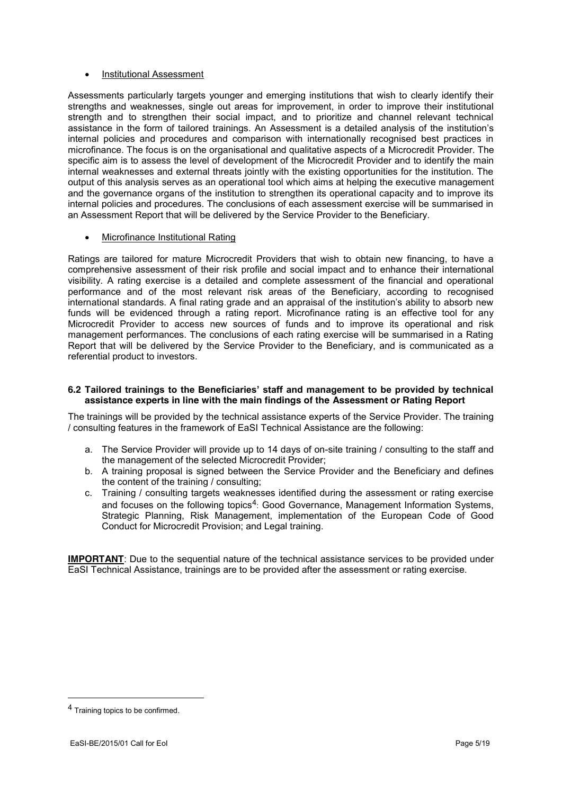#### **Institutional Assessment**

Assessments particularly targets younger and emerging institutions that wish to clearly identify their strengths and weaknesses, single out areas for improvement, in order to improve their institutional strength and to strengthen their social impact, and to prioritize and channel relevant technical assistance in the form of tailored trainings. An Assessment is a detailed analysis of the institution's internal policies and procedures and comparison with internationally recognised best practices in microfinance. The focus is on the organisational and qualitative aspects of a Microcredit Provider. The specific aim is to assess the level of development of the Microcredit Provider and to identify the main internal weaknesses and external threats jointly with the existing opportunities for the institution. The output of this analysis serves as an operational tool which aims at helping the executive management and the governance organs of the institution to strengthen its operational capacity and to improve its internal policies and procedures. The conclusions of each assessment exercise will be summarised in an Assessment Report that will be delivered by the Service Provider to the Beneficiary.

#### Microfinance Institutional Rating

Ratings are tailored for mature Microcredit Providers that wish to obtain new financing, to have a comprehensive assessment of their risk profile and social impact and to enhance their international visibility. A rating exercise is a detailed and complete assessment of the financial and operational performance and of the most relevant risk areas of the Beneficiary, according to recognised international standards. A final rating grade and an appraisal of the institution's ability to absorb new funds will be evidenced through a rating report. Microfinance rating is an effective tool for any Microcredit Provider to access new sources of funds and to improve its operational and risk management performances. The conclusions of each rating exercise will be summarised in a Rating Report that will be delivered by the Service Provider to the Beneficiary, and is communicated as a referential product to investors.

#### <span id="page-4-0"></span>**6.2 Tailored trainings to the Beneficiaries' staff and management to be provided by technical assistance experts in line with the main findings of the Assessment or Rating Report**

The trainings will be provided by the technical assistance experts of the Service Provider. The training / consulting features in the framework of EaSI Technical Assistance are the following:

- a. The Service Provider will provide up to 14 days of on-site training / consulting to the staff and the management of the selected Microcredit Provider;
- b. A training proposal is signed between the Service Provider and the Beneficiary and defines the content of the training / consulting;
- c. Training / consulting targets weaknesses identified during the assessment or rating exercise and focuses on the following topics<sup>4</sup>: Good Governance, Management Information Systems, Strategic Planning, Risk Management, implementation of the European Code of Good Conduct for Microcredit Provision; and Legal training.

**IMPORTANT**: Due to the sequential nature of the technical assistance services to be provided under EaSI Technical Assistance, trainings are to be provided after the assessment or rating exercise.

1

<sup>4</sup> Training topics to be confirmed.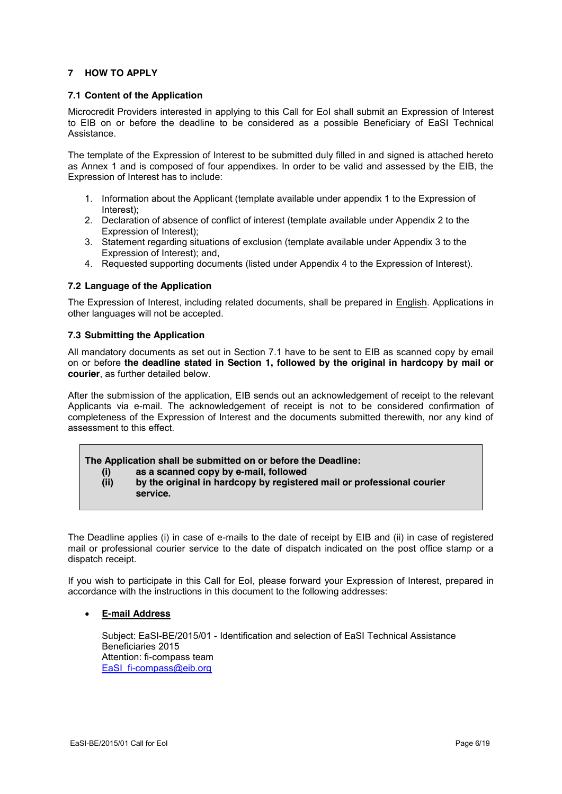#### <span id="page-5-0"></span>**7 HOW TO APPLY**

#### <span id="page-5-1"></span>**7.1 Content of the Application**

Microcredit Providers interested in applying to this Call for EoI shall submit an Expression of Interest to EIB on or before the deadline to be considered as a possible Beneficiary of EaSI Technical Assistance.

The template of the Expression of Interest to be submitted duly filled in and signed is attached hereto as Annex 1 and is composed of four appendixes. In order to be valid and assessed by the EIB, the Expression of Interest has to include:

- 1. Information about the Applicant (template available under appendix 1 to the Expression of Interest);
- 2. Declaration of absence of conflict of interest (template available under Appendix 2 to the Expression of Interest);
- 3. Statement regarding situations of exclusion (template available under Appendix 3 to the Expression of Interest); and,
- 4. Requested supporting documents (listed under Appendix 4 to the Expression of Interest).

#### **7.2 Language of the Application**

The Expression of Interest, including related documents, shall be prepared in English. Applications in other languages will not be accepted.

#### **7.3 Submitting the Application**

All mandatory documents as set out in Section [7.1](#page-5-1) have to be sent to EIB as scanned copy by email on or before **the deadline stated in Section [1,](#page-0-0) followed by the original in hardcopy by mail or courier**, as further detailed below.

After the submission of the application, EIB sends out an acknowledgement of receipt to the relevant Applicants via e-mail. The acknowledgement of receipt is not to be considered confirmation of completeness of the Expression of Interest and the documents submitted therewith, nor any kind of assessment to this effect.

#### **The Application shall be submitted on or before the Deadline:**

- **(i) as a scanned copy by e-mail, followed**
- **(ii) by the original in hardcopy by registered mail or professional courier service.**

The Deadline applies (i) in case of e-mails to the date of receipt by EIB and (ii) in case of registered mail or professional courier service to the date of dispatch indicated on the post office stamp or a dispatch receipt.

If you wish to participate in this Call for EoI, please forward your Expression of Interest, prepared in accordance with the instructions in this document to the following addresses:

#### **E-mail Address**

Subject: EaSI-BE/2015/01 - Identification and selection of EaSI Technical Assistance Beneficiaries 2015 Attention: fi-compass team EaSI[\\_fi-compass@eib.org](mailto:fi-compass@eib.org)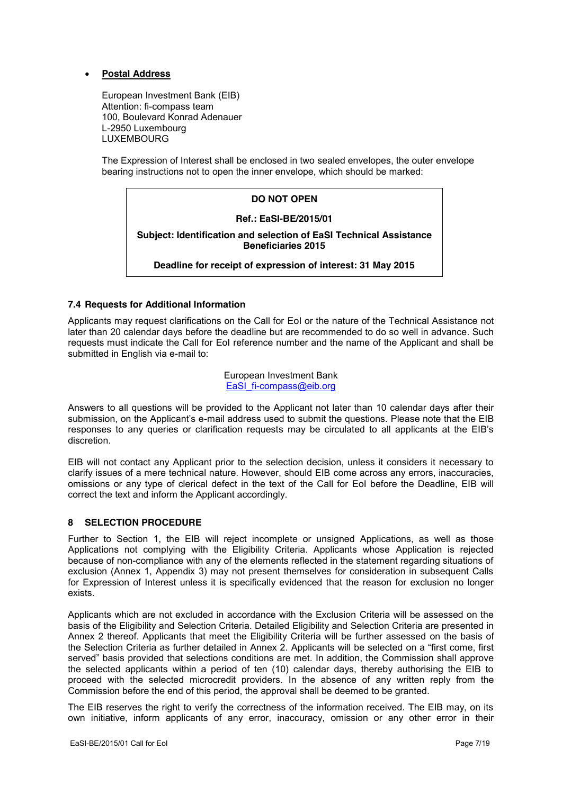#### **Postal Address**

European Investment Bank (EIB) Attention: fi-compass team 100, Boulevard Konrad Adenauer L-2950 Luxembourg LUXEMBOURG

The Expression of Interest shall be enclosed in two sealed envelopes, the outer envelope bearing instructions not to open the inner envelope, which should be marked:

#### **DO NOT OPEN**

#### **Ref.: EaSI-BE/2015/01**

**Subject: Identification and selection of EaSI Technical Assistance Beneficiaries 2015**

#### **Deadline for receipt of expression of interest: 31 May 2015**

#### **7.4 Requests for Additional Information**

Applicants may request clarifications on the Call for EoI or the nature of the Technical Assistance not later than 20 calendar days before the deadline but are recommended to do so well in advance. Such requests must indicate the Call for EoI reference number and the name of the Applicant and shall be submitted in English via e-mail to:

> European Investment Bank EaSI[\\_fi-compass@eib.org](mailto:fi-compass@eib.org)

Answers to all questions will be provided to the Applicant not later than 10 calendar days after their submission, on the Applicant's e-mail address used to submit the questions. Please note that the EIB responses to any queries or clarification requests may be circulated to all applicants at the EIB's discretion.

EIB will not contact any Applicant prior to the selection decision, unless it considers it necessary to clarify issues of a mere technical nature. However, should EIB come across any errors, inaccuracies, omissions or any type of clerical defect in the text of the Call for EoI before the Deadline, EIB will correct the text and inform the Applicant accordingly.

#### <span id="page-6-0"></span>**8 SELECTION PROCEDURE**

Further to Section [1,](#page-0-0) the EIB will reject incomplete or unsigned Applications, as well as those Applications not complying with the Eligibility Criteria. Applicants whose Application is rejected because of non-compliance with any of the elements reflected in the statement regarding situations of exclusion (Annex 1, Appendix 3) may not present themselves for consideration in subsequent Calls for Expression of Interest unless it is specifically evidenced that the reason for exclusion no longer exists.

Applicants which are not excluded in accordance with the Exclusion Criteria will be assessed on the basis of the Eligibility and Selection Criteria. Detailed Eligibility and Selection Criteria are presented in Annex 2 thereof. Applicants that meet the Eligibility Criteria will be further assessed on the basis of the Selection Criteria as further detailed in Annex 2. Applicants will be selected on a "first come, first served" basis provided that selections conditions are met. In addition, the Commission shall approve the selected applicants within a period of ten (10) calendar days, thereby authorising the EIB to proceed with the selected microcredit providers. In the absence of any written reply from the Commission before the end of this period, the approval shall be deemed to be granted.

The EIB reserves the right to verify the correctness of the information received. The EIB may, on its own initiative, inform applicants of any error, inaccuracy, omission or any other error in their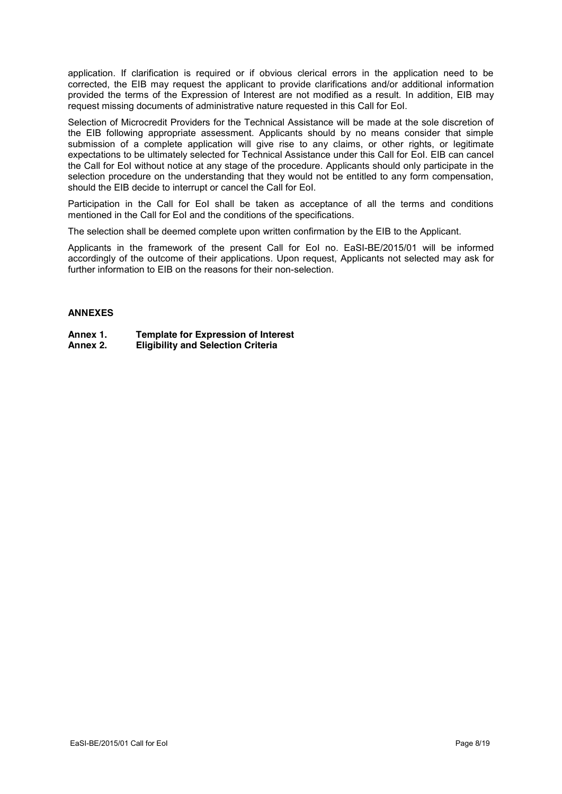application. If clarification is required or if obvious clerical errors in the application need to be corrected, the EIB may request the applicant to provide clarifications and/or additional information provided the terms of the Expression of Interest are not modified as a result. In addition, EIB may request missing documents of administrative nature requested in this Call for EoI.

Selection of Microcredit Providers for the Technical Assistance will be made at the sole discretion of the EIB following appropriate assessment. Applicants should by no means consider that simple submission of a complete application will give rise to any claims, or other rights, or legitimate expectations to be ultimately selected for Technical Assistance under this Call for EoI. EIB can cancel the Call for EoI without notice at any stage of the procedure. Applicants should only participate in the selection procedure on the understanding that they would not be entitled to any form compensation, should the EIB decide to interrupt or cancel the Call for EoI.

Participation in the Call for EoI shall be taken as acceptance of all the terms and conditions mentioned in the Call for EoI and the conditions of the specifications.

The selection shall be deemed complete upon written confirmation by the EIB to the Applicant.

Applicants in the framework of the present Call for EoI no. EaSI-BE/2015/01 will be informed accordingly of the outcome of their applications. Upon request, Applicants not selected may ask for further information to EIB on the reasons for their non-selection.

#### **ANNEXES**

- **Annex 1. Template for Expression of Interest**
- **Annex 2. Eligibility and Selection Criteria**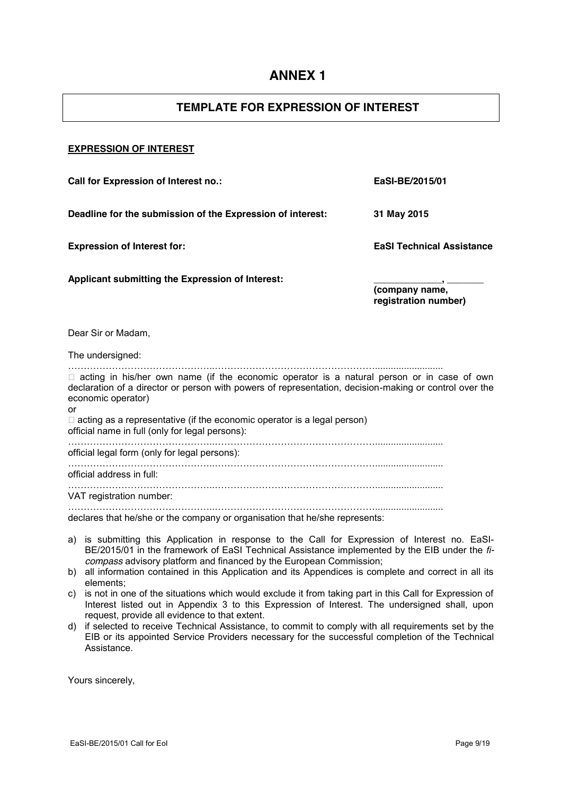## **TEMPLATE FOR EXPRESSION OF INTEREST**

#### **EXPRESSION OF INTEREST**

**Call for Expression of Interest no.: EaSI-BE/2015/01 Deadline for the submission of the Expression of interest: 31 May 2015 Expression of Interest for: EaSI Technical Assistance Applicant submitting the Expression of Interest: \_\_\_\_\_\_\_\_\_\_\_\_\_, \_\_\_\_\_\_\_ (company name, registration number)** Dear Sir or Madam, The undersigned: ………………………………………..……………………………………………..........................  $\Box$  acting in his/her own name (if the economic operator is a natural person or in case of own declaration of a director or person with powers of representation, decision-making or control over the economic operator) or  $\Box$  acting as a representative (if the economic operator is a legal person) official name in full (only for legal persons): ………………………………………..…………………………………………….......................... official legal form (only for legal persons): ………………………………………..…………………………………………….......................... official address in full: ………………………………………..…………………………………………….......................... VAT registration number: ………………………………………..…………………………………………….......................... declares that he/she or the company or organisation that he/she represents:

- a) is submitting this Application in response to the Call for Expression of Interest no. EaSI-BE/2015/01 in the framework of EaSI Technical Assistance implemented by the EIB under the *ficompass* advisory platform and financed by the European Commission;
- b) all information contained in this Application and its Appendices is complete and correct in all its elements;
- c) is not in one of the situations which would exclude it from taking part in this Call for Expression of Interest listed out in Appendix 3 to this Expression of Interest. The undersigned shall, upon request, provide all evidence to that extent.
- d) if selected to receive Technical Assistance, to commit to comply with all requirements set by the EIB or its appointed Service Providers necessary for the successful completion of the Technical Assistance.

Yours sincerely,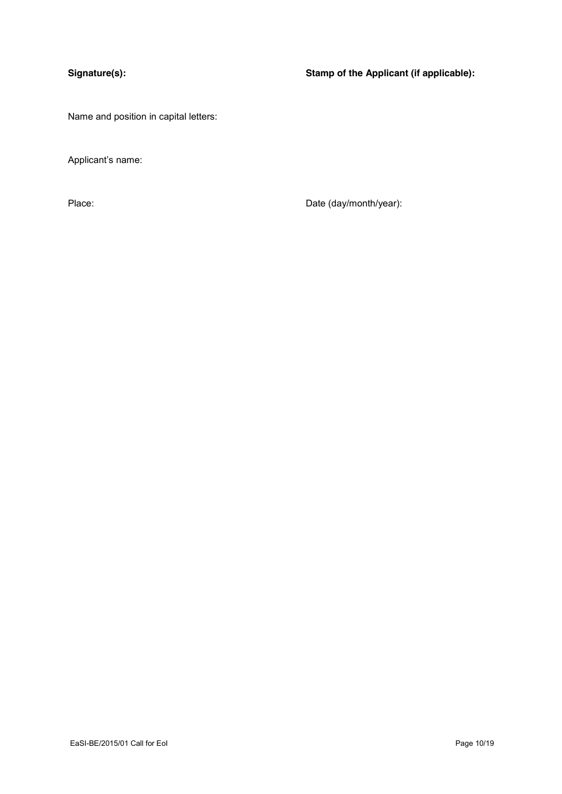**Signature(s): Stamp of the Applicant (if applicable):**

Name and position in capital letters:

Applicant's name:

Place: Place: Date (day/month/year):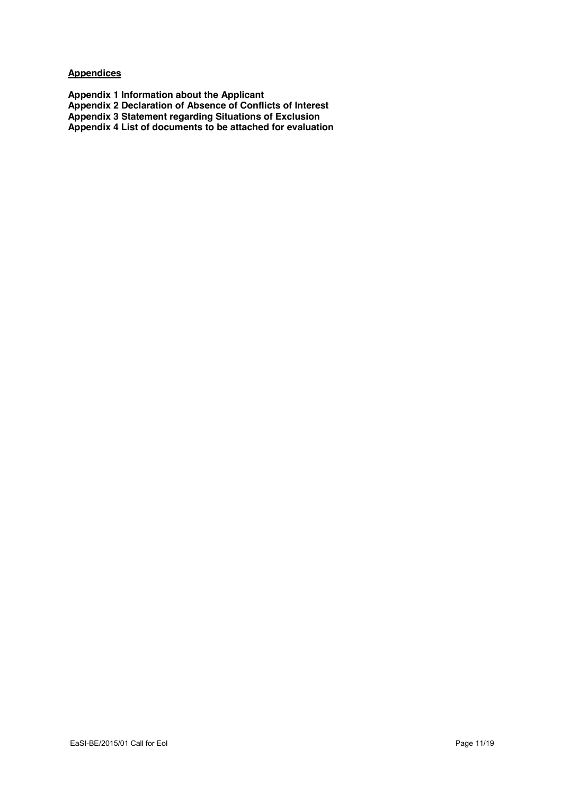**Appendices**

**Appendix 1 Information about the Applicant Appendix 2 Declaration of Absence of Conflicts of Interest Appendix 3 Statement regarding Situations of Exclusion Appendix 4 List of documents to be attached for evaluation**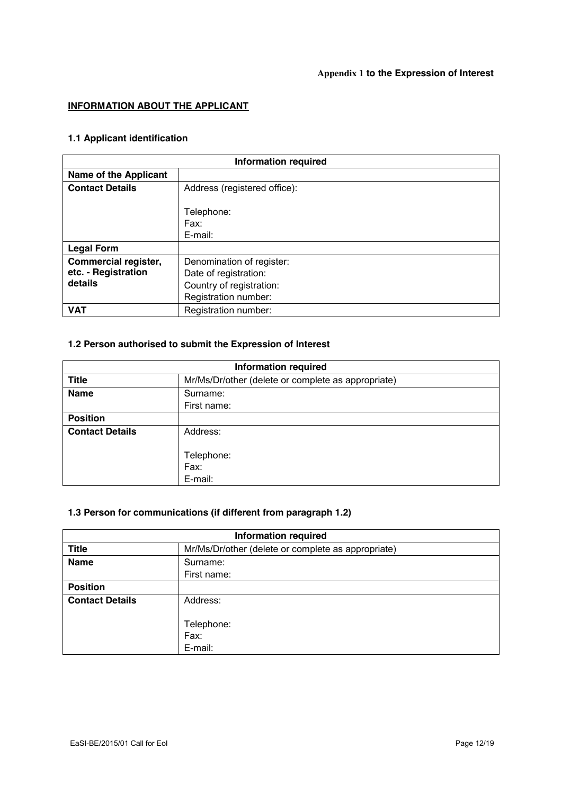### **Appendix 1 to the Expression of Interest**

### **INFORMATION ABOUT THE APPLICANT**

# **1.1 Applicant identification**

| <b>Information required</b>  |                              |  |
|------------------------------|------------------------------|--|
| <b>Name of the Applicant</b> |                              |  |
| <b>Contact Details</b>       | Address (registered office): |  |
|                              |                              |  |
|                              | Telephone:                   |  |
|                              | Fax:                         |  |
|                              | E-mail:                      |  |
| <b>Legal Form</b>            |                              |  |
| Commercial register,         | Denomination of register:    |  |
| etc. - Registration          | Date of registration:        |  |
| details                      | Country of registration:     |  |
|                              | Registration number:         |  |
| <b>VAT</b>                   | Registration number:         |  |

# **1.2 Person authorised to submit the Expression of Interest**

| <b>Information required</b> |                                                    |  |  |
|-----------------------------|----------------------------------------------------|--|--|
| <b>Title</b>                | Mr/Ms/Dr/other (delete or complete as appropriate) |  |  |
| <b>Name</b>                 | Surname:                                           |  |  |
|                             | First name:                                        |  |  |
| <b>Position</b>             |                                                    |  |  |
| <b>Contact Details</b>      | Address:                                           |  |  |
|                             |                                                    |  |  |
|                             | Telephone:                                         |  |  |
|                             | Fax:                                               |  |  |
|                             | E-mail:                                            |  |  |

# **1.3 Person for communications (if different from paragraph 1.2)**

| <b>Information required</b>                                        |             |  |
|--------------------------------------------------------------------|-------------|--|
| <b>Title</b><br>Mr/Ms/Dr/other (delete or complete as appropriate) |             |  |
| <b>Name</b>                                                        | Surname:    |  |
|                                                                    | First name: |  |
| <b>Position</b>                                                    |             |  |
| <b>Contact Details</b>                                             | Address:    |  |
|                                                                    |             |  |
|                                                                    | Telephone:  |  |
|                                                                    | Fax:        |  |
|                                                                    | E-mail:     |  |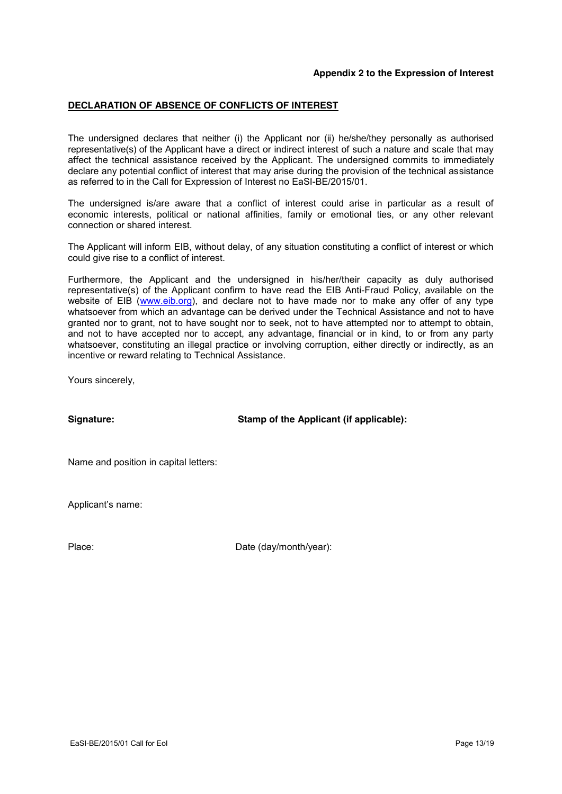#### **Appendix 2 to the Expression of Interest**

#### **DECLARATION OF ABSENCE OF CONFLICTS OF INTEREST**

The undersigned declares that neither (i) the Applicant nor (ii) he/she/they personally as authorised representative(s) of the Applicant have a direct or indirect interest of such a nature and scale that may affect the technical assistance received by the Applicant. The undersigned commits to immediately declare any potential conflict of interest that may arise during the provision of the technical assistance as referred to in the Call for Expression of Interest no EaSI-BE/2015/01.

The undersigned is/are aware that a conflict of interest could arise in particular as a result of economic interests, political or national affinities, family or emotional ties, or any other relevant connection or shared interest.

The Applicant will inform EIB, without delay, of any situation constituting a conflict of interest or which could give rise to a conflict of interest.

Furthermore, the Applicant and the undersigned in his/her/their capacity as duly authorised representative(s) of the Applicant confirm to have read the EIB Anti-Fraud Policy, available on the website of EIB [\(www.eib.org\)](http://www.eib.org/), and declare not to have made nor to make any offer of any type whatsoever from which an advantage can be derived under the Technical Assistance and not to have granted nor to grant, not to have sought nor to seek, not to have attempted nor to attempt to obtain, and not to have accepted nor to accept, any advantage, financial or in kind, to or from any party whatsoever, constituting an illegal practice or involving corruption, either directly or indirectly, as an incentive or reward relating to Technical Assistance.

Yours sincerely,

**Signature: Stamp of the Applicant (if applicable):**

Name and position in capital letters:

Applicant's name:

Place: Date (day/month/year):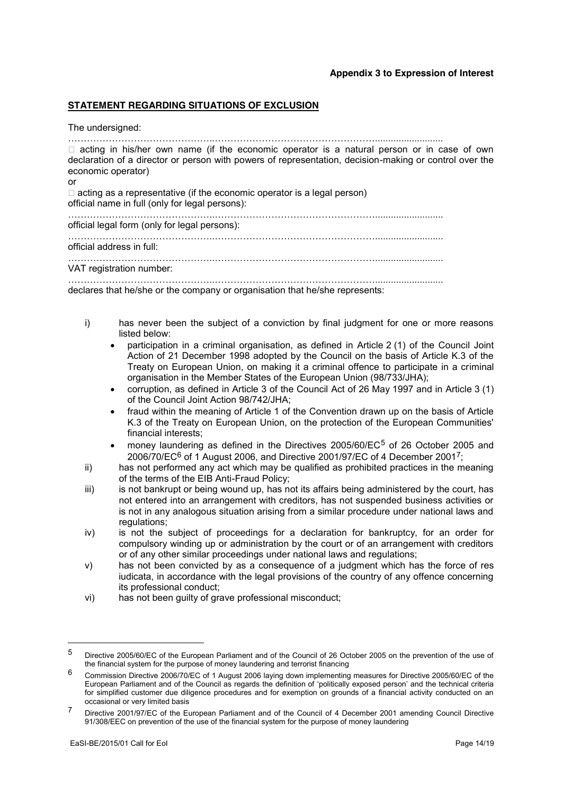#### **STATEMENT REGARDING SITUATIONS OF EXCLUSION**

The undersigned:

………………………………………..……………………………………………..........................

□ acting in his/her own name (if the economic operator is a natural person or in case of own declaration of a director or person with powers of representation, decision-making or control over the economic operator)

or

 $\Box$  acting as a representative (if the economic operator is a legal person) official name in full (only for legal persons):

………………………………………..…………………………………………….......................... official legal form (only for legal persons):

………………………………………..……………………………………………..........................

official address in full:

………………………………………..……………………………………………..........................

VAT registration number:

………………………………………..…………………………………………….......................... declares that he/she or the company or organisation that he/she represents:

- i) has never been the subject of a conviction by final judgment for one or more reasons listed below:
	- participation in a criminal organisation, as defined in Article 2 (1) of the Council Joint Action of 21 December 1998 adopted by the Council on the basis of Article K.3 of the Treaty on European Union, on making it a criminal offence to participate in a criminal organisation in the Member States of the European Union (98/733/JHA);
	- x corruption, as defined in Article 3 of the Council Act of 26 May 1997 and in Article 3 (1) of the Council Joint Action 98/742/JHA;
	- fraud within the meaning of Article 1 of the Convention drawn up on the basis of Article K.3 of the Treaty on European Union, on the protection of the European Communities' financial interests;
	- money laundering as defined in the Directives  $2005/60$ /EC<sup>5</sup> of 26 October 2005 and 2006/70/EC<sup>6</sup> of 1 August 2006, and Directive 2001/97/EC of 4 December 2001<sup>7</sup>;
- ii) has not performed any act which may be qualified as prohibited practices in the meaning of the terms of the EIB Anti-Fraud Policy;
- iii) is not bankrupt or being wound up, has not its affairs being administered by the court, has not entered into an arrangement with creditors, has not suspended business activities or is not in any analogous situation arising from a similar procedure under national laws and regulations:
- iv) is not the subject of proceedings for a declaration for bankruptcy, for an order for compulsory winding up or administration by the court or of an arrangement with creditors or of any other similar proceedings under national laws and regulations;
- v) has not been convicted by as a consequence of a judgment which has the force of res iudicata, in accordance with the legal provisions of the country of any offence concerning its professional conduct;
- vi) has not been guilty of grave professional misconduct;

<u>.</u>

<sup>5</sup> Directive 2005/60/EC of the European Parliament and of the Council of 26 October 2005 on the prevention of the use of the financial system for the purpose of money laundering and terrorist financing

<sup>6</sup> Commission Directive 2006/70/EC of 1 August 2006 laying down implementing measures for Directive 2005/60/EC of the European Parliament and of the Council as regards the definition of 'politically exposed person' and the technical criteria for simplified customer due diligence procedures and for exemption on grounds of a financial activity conducted on an occasional or very limited basis

<sup>7</sup> Directive 2001/97/EC of the European Parliament and of the Council of 4 December 2001 amending Council Directive 91/308/EEC on prevention of the use of the financial system for the purpose of money laundering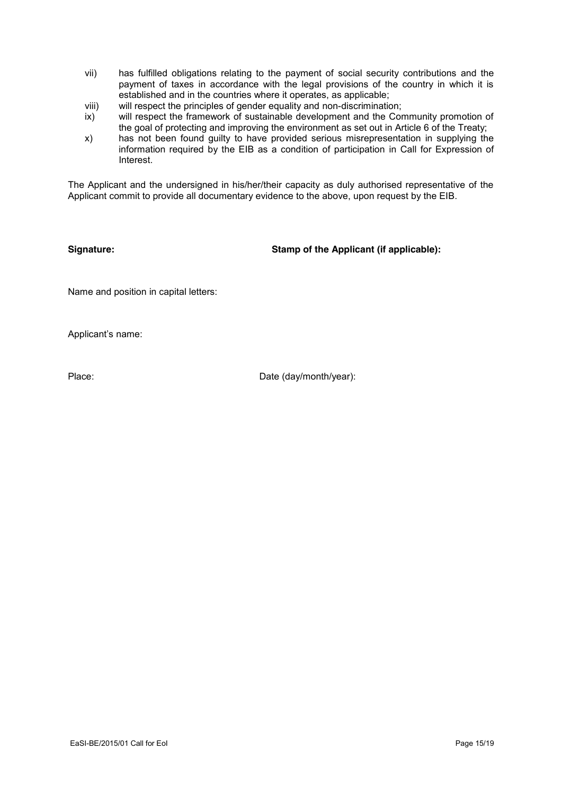- vii) has fulfilled obligations relating to the payment of social security contributions and the payment of taxes in accordance with the legal provisions of the country in which it is established and in the countries where it operates, as applicable;
- viii) will respect the principles of gender equality and non-discrimination;
- ix) will respect the framework of sustainable development and the Community promotion of the goal of protecting and improving the environment as set out in Article 6 of the Treaty;
- x) has not been found guilty to have provided serious misrepresentation in supplying the information required by the EIB as a condition of participation in Call for Expression of Interest.

The Applicant and the undersigned in his/her/their capacity as duly authorised representative of the Applicant commit to provide all documentary evidence to the above, upon request by the EIB.

**Signature: Stamp of the Applicant (if applicable):**

Name and position in capital letters:

Applicant's name:

Place: Date (day/month/year):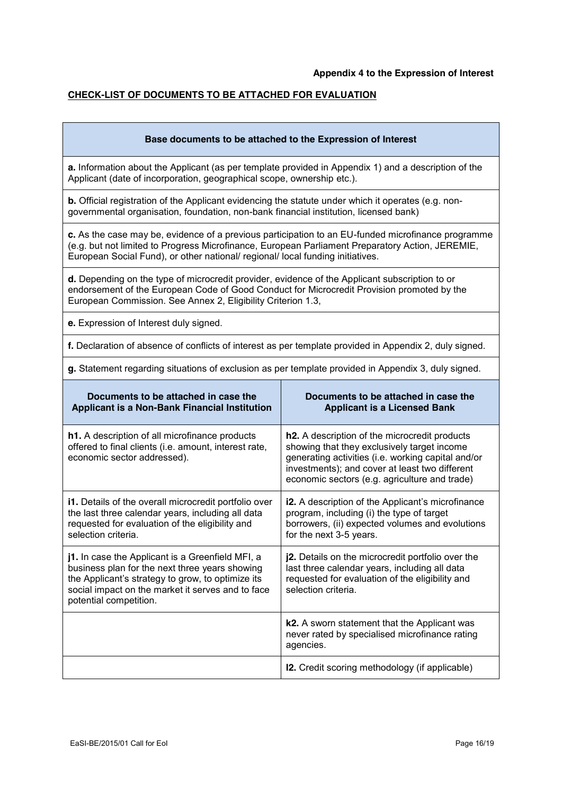#### **CHECK-LIST OF DOCUMENTS TO BE ATTACHED FOR EVALUATION**

| Base documents to be attached to the Expression of Interest |  |
|-------------------------------------------------------------|--|
|                                                             |  |

**a.** Information about the Applicant (as per template provided in Appendix 1) and a description of the Applicant (date of incorporation, geographical scope, ownership etc.).

**b.** Official registration of the Applicant evidencing the statute under which it operates (e.g. nongovernmental organisation, foundation, non-bank financial institution, licensed bank)

**c.** As the case may be, evidence of a previous participation to an EU-funded microfinance programme (e.g. but not limited to Progress Microfinance, European Parliament Preparatory Action, JEREMIE, European Social Fund), or other national/ regional/ local funding initiatives.

**d.** Depending on the type of microcredit provider, evidence of the Applicant subscription to or endorsement of the European Code of Good Conduct for Microcredit Provision promoted by the European Commission. See Annex 2, Eligibility Criterion 1.3,

**e.** Expression of Interest duly signed.

**f.** Declaration of absence of conflicts of interest as per template provided in Appendix 2, duly signed.

**g.** Statement regarding situations of exclusion as per template provided in Appendix 3, duly signed.

| Documents to be attached in case the<br>Applicant is a Non-Bank Financial Institution                                                                                                                                                  | Documents to be attached in case the<br><b>Applicant is a Licensed Bank</b>                                                                                                                                                                           |
|----------------------------------------------------------------------------------------------------------------------------------------------------------------------------------------------------------------------------------------|-------------------------------------------------------------------------------------------------------------------------------------------------------------------------------------------------------------------------------------------------------|
| <b>h1.</b> A description of all microfinance products<br>offered to final clients (i.e. amount, interest rate,<br>economic sector addressed).                                                                                          | h2. A description of the microcredit products<br>showing that they exclusively target income<br>generating activities (i.e. working capital and/or<br>investments); and cover at least two different<br>economic sectors (e.g. agriculture and trade) |
| i1. Details of the overall microcredit portfolio over<br>the last three calendar years, including all data<br>requested for evaluation of the eligibility and<br>selection criteria.                                                   | i2. A description of the Applicant's microfinance<br>program, including (i) the type of target<br>borrowers, (ii) expected volumes and evolutions<br>for the next 3-5 years.                                                                          |
| j1. In case the Applicant is a Greenfield MFI, a<br>business plan for the next three years showing<br>the Applicant's strategy to grow, to optimize its<br>social impact on the market it serves and to face<br>potential competition. | j2. Details on the microcredit portfolio over the<br>last three calendar years, including all data<br>requested for evaluation of the eligibility and<br>selection criteria.                                                                          |
|                                                                                                                                                                                                                                        | k2. A sworn statement that the Applicant was<br>never rated by specialised microfinance rating<br>agencies.                                                                                                                                           |
|                                                                                                                                                                                                                                        | <b>12.</b> Credit scoring methodology (if applicable)                                                                                                                                                                                                 |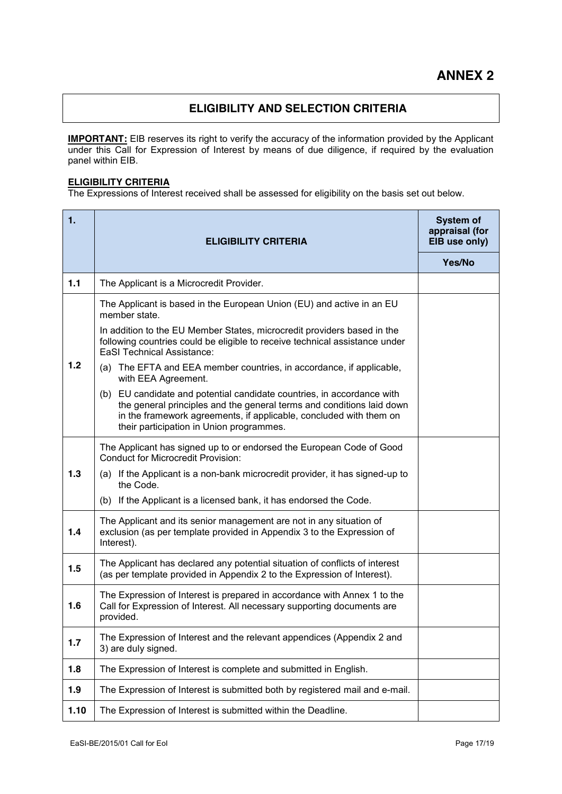# **ELIGIBILITY AND SELECTION CRITERIA**

**IMPORTANT:** EIB reserves its right to verify the accuracy of the information provided by the Applicant under this Call for Expression of Interest by means of due diligence, if required by the evaluation panel within EIB.

#### **ELIGIBILITY CRITERIA**

The Expressions of Interest received shall be assessed for eligibility on the basis set out below.

| 1.   | <b>ELIGIBILITY CRITERIA</b>                                                                                                                                                                                                                                       | System of<br>appraisal (for<br>EIB use only) |
|------|-------------------------------------------------------------------------------------------------------------------------------------------------------------------------------------------------------------------------------------------------------------------|----------------------------------------------|
|      |                                                                                                                                                                                                                                                                   | Yes/No                                       |
| 1.1  | The Applicant is a Microcredit Provider.                                                                                                                                                                                                                          |                                              |
|      | The Applicant is based in the European Union (EU) and active in an EU<br>member state.                                                                                                                                                                            |                                              |
|      | In addition to the EU Member States, microcredit providers based in the<br>following countries could be eligible to receive technical assistance under<br><b>EaSI Technical Assistance:</b>                                                                       |                                              |
| 1.2  | (a) The EFTA and EEA member countries, in accordance, if applicable,<br>with EEA Agreement.                                                                                                                                                                       |                                              |
|      | (b) EU candidate and potential candidate countries, in accordance with<br>the general principles and the general terms and conditions laid down<br>in the framework agreements, if applicable, concluded with them on<br>their participation in Union programmes. |                                              |
|      | The Applicant has signed up to or endorsed the European Code of Good<br><b>Conduct for Microcredit Provision:</b>                                                                                                                                                 |                                              |
| 1.3  | (a) If the Applicant is a non-bank microcredit provider, it has signed-up to<br>the Code.                                                                                                                                                                         |                                              |
|      | (b) If the Applicant is a licensed bank, it has endorsed the Code.                                                                                                                                                                                                |                                              |
| 1.4  | The Applicant and its senior management are not in any situation of<br>exclusion (as per template provided in Appendix 3 to the Expression of<br>Interest).                                                                                                       |                                              |
| 1.5  | The Applicant has declared any potential situation of conflicts of interest<br>(as per template provided in Appendix 2 to the Expression of Interest).                                                                                                            |                                              |
| 1.6  | The Expression of Interest is prepared in accordance with Annex 1 to the<br>Call for Expression of Interest. All necessary supporting documents are<br>provided.                                                                                                  |                                              |
| 1.7  | The Expression of Interest and the relevant appendices (Appendix 2 and<br>3) are duly signed.                                                                                                                                                                     |                                              |
| 1.8  | The Expression of Interest is complete and submitted in English.                                                                                                                                                                                                  |                                              |
| 1.9  | The Expression of Interest is submitted both by registered mail and e-mail.                                                                                                                                                                                       |                                              |
| 1.10 | The Expression of Interest is submitted within the Deadline.                                                                                                                                                                                                      |                                              |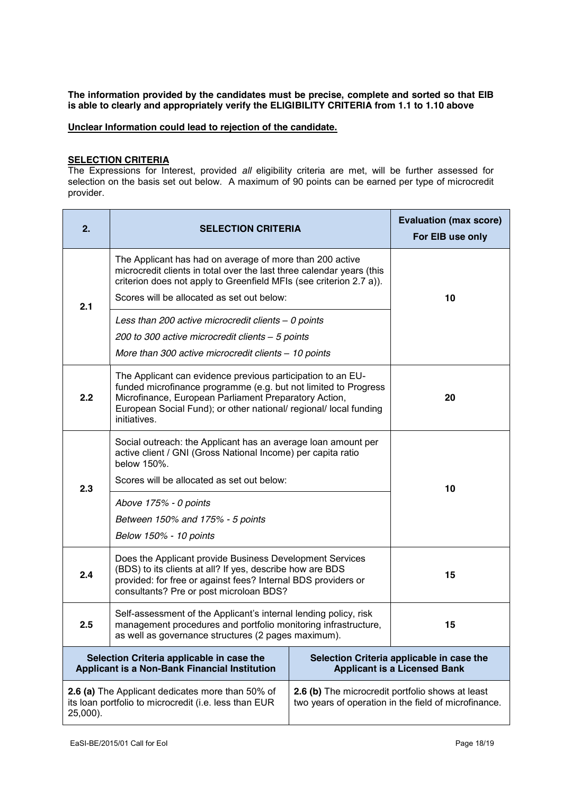**The information provided by the candidates must be precise, complete and sorted so that EIB is able to clearly and appropriately verify the ELIGIBILITY CRITERIA from 1.1 to 1.10 above**

**Unclear Information could lead to rejection of the candidate.**

#### **SELECTION CRITERIA**

The Expressions for Interest, provided *all* eligibility criteria are met, will be further assessed for selection on the basis set out below. A maximum of 90 points can be earned per type of microcredit provider.

| 2.                                                                                                                                                                                                                                | <b>SELECTION CRITERIA</b>                                                                                                                                                                                                                                                    |  | <b>Evaluation (max score)</b><br>For EIB use only                                |  |
|-----------------------------------------------------------------------------------------------------------------------------------------------------------------------------------------------------------------------------------|------------------------------------------------------------------------------------------------------------------------------------------------------------------------------------------------------------------------------------------------------------------------------|--|----------------------------------------------------------------------------------|--|
|                                                                                                                                                                                                                                   | The Applicant has had on average of more than 200 active<br>microcredit clients in total over the last three calendar years (this<br>criterion does not apply to Greenfield MFIs (see criterion 2.7 a)).                                                                     |  |                                                                                  |  |
| 2.1                                                                                                                                                                                                                               | Scores will be allocated as set out below:                                                                                                                                                                                                                                   |  | 10                                                                               |  |
|                                                                                                                                                                                                                                   | Less than 200 active microcredit clients - 0 points                                                                                                                                                                                                                          |  |                                                                                  |  |
|                                                                                                                                                                                                                                   | 200 to 300 active microcredit clients - 5 points                                                                                                                                                                                                                             |  |                                                                                  |  |
|                                                                                                                                                                                                                                   | More than 300 active microcredit clients - 10 points                                                                                                                                                                                                                         |  |                                                                                  |  |
| 2.2                                                                                                                                                                                                                               | The Applicant can evidence previous participation to an EU-<br>funded microfinance programme (e.g. but not limited to Progress<br>Microfinance, European Parliament Preparatory Action,<br>European Social Fund); or other national/ regional/ local funding<br>initiatives. |  | 20                                                                               |  |
|                                                                                                                                                                                                                                   | Social outreach: the Applicant has an average loan amount per<br>active client / GNI (Gross National Income) per capita ratio<br>below 150%.                                                                                                                                 |  |                                                                                  |  |
| 2.3                                                                                                                                                                                                                               | Scores will be allocated as set out below:                                                                                                                                                                                                                                   |  | 10                                                                               |  |
|                                                                                                                                                                                                                                   | Above 175% - 0 points                                                                                                                                                                                                                                                        |  |                                                                                  |  |
|                                                                                                                                                                                                                                   | Between 150% and 175% - 5 points                                                                                                                                                                                                                                             |  |                                                                                  |  |
|                                                                                                                                                                                                                                   | Below 150% - 10 points                                                                                                                                                                                                                                                       |  |                                                                                  |  |
| 2.4                                                                                                                                                                                                                               | Does the Applicant provide Business Development Services<br>(BDS) to its clients at all? If yes, describe how are BDS<br>15<br>provided: for free or against fees? Internal BDS providers or<br>consultants? Pre or post microloan BDS?                                      |  |                                                                                  |  |
| 2.5                                                                                                                                                                                                                               | Self-assessment of the Applicant's internal lending policy, risk<br>management procedures and portfolio monitoring infrastructure,<br>as well as governance structures (2 pages maximum).                                                                                    |  | 15                                                                               |  |
|                                                                                                                                                                                                                                   | Selection Criteria applicable in case the<br>Applicant is a Non-Bank Financial Institution                                                                                                                                                                                   |  | Selection Criteria applicable in case the<br><b>Applicant is a Licensed Bank</b> |  |
| 2.6 (b) The microcredit portfolio shows at least<br>2.6 (a) The Applicant dedicates more than 50% of<br>its loan portfolio to microcredit (i.e. less than EUR<br>two years of operation in the field of microfinance.<br>25,000). |                                                                                                                                                                                                                                                                              |  |                                                                                  |  |